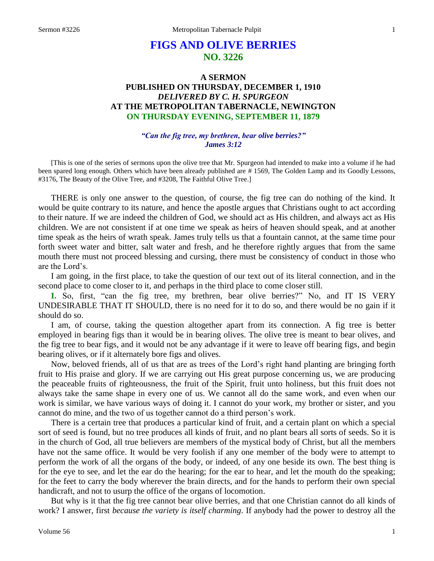# **FIGS AND OLIVE BERRIES NO. 3226**

# **A SERMON PUBLISHED ON THURSDAY, DECEMBER 1, 1910** *DELIVERED BY C. H. SPURGEON* **AT THE METROPOLITAN TABERNACLE, NEWINGTON ON THURSDAY EVENING, SEPTEMBER 11, 1879**

#### *"Can the fig tree, my brethren, bear olive berries?" James 3:12*

[This is one of the series of sermons upon the olive tree that Mr. Spurgeon had intended to make into a volume if he had been spared long enough. Others which have been already published are # 1569, The Golden Lamp and its Goodly Lessons, #3176, The Beauty of the Olive Tree, and #3208, The Faithful Olive Tree.]

THERE is only one answer to the question, of course, the fig tree can do nothing of the kind. It would be quite contrary to its nature, and hence the apostle argues that Christians ought to act according to their nature. If we are indeed the children of God, we should act as His children, and always act as His children. We are not consistent if at one time we speak as heirs of heaven should speak, and at another time speak as the heirs of wrath speak. James truly tells us that a fountain cannot, at the same time pour forth sweet water and bitter, salt water and fresh, and he therefore rightly argues that from the same mouth there must not proceed blessing and cursing, there must be consistency of conduct in those who are the Lord's.

I am going, in the first place, to take the question of our text out of its literal connection, and in the second place to come closer to it, and perhaps in the third place to come closer still.

**I.** So, first, "can the fig tree, my brethren, bear olive berries?" No, and IT IS VERY UNDESIRABLE THAT IT SHOULD, there is no need for it to do so, and there would be no gain if it should do so.

I am, of course, taking the question altogether apart from its connection. A fig tree is better employed in bearing figs than it would be in bearing olives. The olive tree is meant to bear olives, and the fig tree to bear figs, and it would not be any advantage if it were to leave off bearing figs, and begin bearing olives, or if it alternately bore figs and olives.

Now, beloved friends, all of us that are as trees of the Lord's right hand planting are bringing forth fruit to His praise and glory. If we are carrying out His great purpose concerning us, we are producing the peaceable fruits of righteousness, the fruit of the Spirit, fruit unto holiness, but this fruit does not always take the same shape in every one of us. We cannot all do the same work, and even when our work is similar, we have various ways of doing it. I cannot do your work, my brother or sister, and you cannot do mine, and the two of us together cannot do a third person's work.

There is a certain tree that produces a particular kind of fruit, and a certain plant on which a special sort of seed is found, but no tree produces all kinds of fruit, and no plant bears all sorts of seeds. So it is in the church of God, all true believers are members of the mystical body of Christ, but all the members have not the same office. It would be very foolish if any one member of the body were to attempt to perform the work of all the organs of the body, or indeed, of any one beside its own. The best thing is for the eye to see, and let the ear do the hearing; for the ear to hear, and let the mouth do the speaking; for the feet to carry the body wherever the brain directs, and for the hands to perform their own special handicraft, and not to usurp the office of the organs of locomotion.

But why is it that the fig tree cannot bear olive berries, and that one Christian cannot do all kinds of work? I answer, first *because the variety is itself charming*. If anybody had the power to destroy all the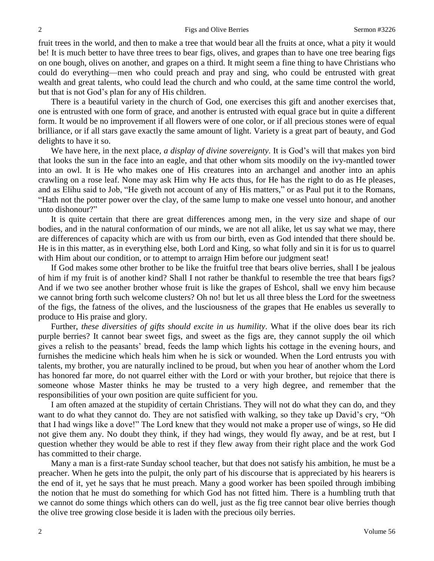fruit trees in the world, and then to make a tree that would bear all the fruits at once, what a pity it would be! It is much better to have three trees to bear figs, olives, and grapes than to have one tree bearing figs on one bough, olives on another, and grapes on a third. It might seem a fine thing to have Christians who could do everything—men who could preach and pray and sing, who could be entrusted with great wealth and great talents, who could lead the church and who could, at the same time control the world, but that is not God's plan for any of His children.

There is a beautiful variety in the church of God, one exercises this gift and another exercises that, one is entrusted with one form of grace, and another is entrusted with equal grace but in quite a different form. It would be no improvement if all flowers were of one color, or if all precious stones were of equal brilliance, or if all stars gave exactly the same amount of light. Variety is a great part of beauty, and God delights to have it so.

We have here, in the next place, *a display of divine sovereignty*. It is God's will that makes yon bird that looks the sun in the face into an eagle, and that other whom sits moodily on the ivy-mantled tower into an owl. It is He who makes one of His creatures into an archangel and another into an aphis crawling on a rose leaf. None may ask Him why He acts thus, for He has the right to do as He pleases, and as Elihu said to Job, "He giveth not account of any of His matters," or as Paul put it to the Romans, "Hath not the potter power over the clay, of the same lump to make one vessel unto honour, and another unto dishonour?"

It is quite certain that there are great differences among men, in the very size and shape of our bodies, and in the natural conformation of our minds, we are not all alike, let us say what we may, there are differences of capacity which are with us from our birth, even as God intended that there should be. He is in this matter, as in everything else, both Lord and King, so what folly and sin it is for us to quarrel with Him about our condition, or to attempt to arraign Him before our judgment seat!

If God makes some other brother to be like the fruitful tree that bears olive berries, shall I be jealous of him if my fruit is of another kind? Shall I not rather be thankful to resemble the tree that bears figs? And if we two see another brother whose fruit is like the grapes of Eshcol, shall we envy him because we cannot bring forth such welcome clusters? Oh no! but let us all three bless the Lord for the sweetness of the figs, the fatness of the olives, and the lusciousness of the grapes that He enables us severally to produce to His praise and glory.

Further, *these diversities of gifts should excite in us humility*. What if the olive does bear its rich purple berries? It cannot bear sweet figs, and sweet as the figs are, they cannot supply the oil which gives a relish to the peasants' bread, feeds the lamp which lights his cottage in the evening hours, and furnishes the medicine which heals him when he is sick or wounded. When the Lord entrusts you with talents, my brother, you are naturally inclined to be proud, but when you hear of another whom the Lord has honored far more, do not quarrel either with the Lord or with your brother, but rejoice that there is someone whose Master thinks he may be trusted to a very high degree, and remember that the responsibilities of your own position are quite sufficient for you.

I am often amazed at the stupidity of certain Christians. They will not do what they can do, and they want to do what they cannot do. They are not satisfied with walking, so they take up David's cry, "Oh that I had wings like a dove!" The Lord knew that they would not make a proper use of wings, so He did not give them any. No doubt they think, if they had wings, they would fly away, and be at rest, but I question whether they would be able to rest if they flew away from their right place and the work God has committed to their charge.

Many a man is a first-rate Sunday school teacher, but that does not satisfy his ambition, he must be a preacher. When he gets into the pulpit, the only part of his discourse that is appreciated by his hearers is the end of it, yet he says that he must preach. Many a good worker has been spoiled through imbibing the notion that he must do something for which God has not fitted him. There is a humbling truth that we cannot do some things which others can do well, just as the fig tree cannot bear olive berries though the olive tree growing close beside it is laden with the precious oily berries.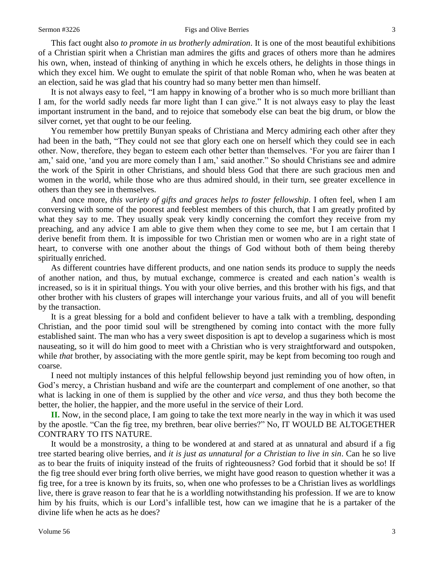#### Sermon #3226 **Figs and Olive Berries** 3

This fact ought also *to promote in us brotherly admiration*. It is one of the most beautiful exhibitions of a Christian spirit when a Christian man admires the gifts and graces of others more than he admires his own, when, instead of thinking of anything in which he excels others, he delights in those things in which they excel him. We ought to emulate the spirit of that noble Roman who, when he was beaten at an election, said he was glad that his country had so many better men than himself.

It is not always easy to feel, "I am happy in knowing of a brother who is so much more brilliant than I am, for the world sadly needs far more light than I can give." It is not always easy to play the least important instrument in the band, and to rejoice that somebody else can beat the big drum, or blow the silver cornet, yet that ought to be our feeling.

You remember how prettily Bunyan speaks of Christiana and Mercy admiring each other after they had been in the bath, "They could not see that glory each one on herself which they could see in each other. Now, therefore, they began to esteem each other better than themselves. 'For you are fairer than I am,' said one, 'and you are more comely than I am,' said another." So should Christians see and admire the work of the Spirit in other Christians, and should bless God that there are such gracious men and women in the world, while those who are thus admired should, in their turn, see greater excellence in others than they see in themselves.

And once more, *this variety of gifts and graces helps to foster fellowship*. I often feel, when I am conversing with some of the poorest and feeblest members of this church, that I am greatly profited by what they say to me. They usually speak very kindly concerning the comfort they receive from my preaching, and any advice I am able to give them when they come to see me, but I am certain that I derive benefit from them. It is impossible for two Christian men or women who are in a right state of heart, to converse with one another about the things of God without both of them being thereby spiritually enriched.

As different countries have different products, and one nation sends its produce to supply the needs of another nation, and thus, by mutual exchange, commerce is created and each nation's wealth is increased, so is it in spiritual things. You with your olive berries, and this brother with his figs, and that other brother with his clusters of grapes will interchange your various fruits, and all of you will benefit by the transaction.

It is a great blessing for a bold and confident believer to have a talk with a trembling, desponding Christian, and the poor timid soul will be strengthened by coming into contact with the more fully established saint. The man who has a very sweet disposition is apt to develop a sugariness which is most nauseating, so it will do him good to meet with a Christian who is very straightforward and outspoken, while *that* brother, by associating with the more gentle spirit, may be kept from becoming too rough and coarse.

I need not multiply instances of this helpful fellowship beyond just reminding you of how often, in God's mercy, a Christian husband and wife are the counterpart and complement of one another, so that what is lacking in one of them is supplied by the other and *vice versa,* and thus they both become the better, the holier, the happier, and the more useful in the service of their Lord.

**II.** Now, in the second place, I am going to take the text more nearly in the way in which it was used by the apostle. "Can the fig tree, my brethren, bear olive berries?" No, IT WOULD BE ALTOGETHER CONTRARY TO ITS NATURE.

It would be a monstrosity, a thing to be wondered at and stared at as unnatural and absurd if a fig tree started bearing olive berries, and *it is just as unnatural for a Christian to live in sin*. Can he so live as to bear the fruits of iniquity instead of the fruits of righteousness? God forbid that it should be so! If the fig tree should ever bring forth olive berries, we might have good reason to question whether it was a fig tree, for a tree is known by its fruits, so, when one who professes to be a Christian lives as worldlings live, there is grave reason to fear that he is a worldling notwithstanding his profession. If we are to know him by his fruits, which is our Lord's infallible test, how can we imagine that he is a partaker of the divine life when he acts as he does?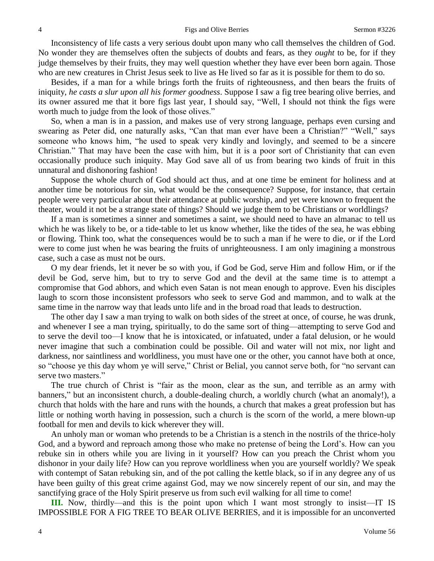#### 4 Figs and Olive Berries Sermon #3226

Inconsistency of life casts a very serious doubt upon many who call themselves the children of God. No wonder they are themselves often the subjects of doubts and fears, as they *ought* to be, for if they judge themselves by their fruits, they may well question whether they have ever been born again. Those who are new creatures in Christ Jesus seek to live as He lived so far as it is possible for them to do so.

Besides, if a man for a while brings forth the fruits of righteousness, and then bears the fruits of iniquity, *he casts a slur upon all his former goodness*. Suppose I saw a fig tree bearing olive berries, and its owner assured me that it bore figs last year, I should say, "Well, I should not think the figs were worth much to judge from the look of those olives."

So, when a man is in a passion, and makes use of very strong language, perhaps even cursing and swearing as Peter did, one naturally asks, "Can that man ever have been a Christian?" "Well," says someone who knows him, "he used to speak very kindly and lovingly, and seemed to be a sincere Christian." That may have been the case with him, but it is a poor sort of Christianity that can even occasionally produce such iniquity. May God save all of us from bearing two kinds of fruit in this unnatural and dishonoring fashion!

Suppose the whole church of God should act thus, and at one time be eminent for holiness and at another time be notorious for sin, what would be the consequence? Suppose, for instance, that certain people were very particular about their attendance at public worship, and yet were known to frequent the theater, would it not be a strange state of things? Should we judge them to be Christians or worldlings?

If a man is sometimes a sinner and sometimes a saint, we should need to have an almanac to tell us which he was likely to be, or a tide-table to let us know whether, like the tides of the sea, he was ebbing or flowing. Think too, what the consequences would be to such a man if he were to die, or if the Lord were to come just when he was bearing the fruits of unrighteousness. I am only imagining a monstrous case, such a case as must not be ours.

O my dear friends, let it never be so with you, if God be God, serve Him and follow Him, or if the devil be God, serve him, but to try to serve God and the devil at the same time is to attempt a compromise that God abhors, and which even Satan is not mean enough to approve. Even his disciples laugh to scorn those inconsistent professors who seek to serve God and mammon, and to walk at the same time in the narrow way that leads unto life and in the broad road that leads to destruction.

The other day I saw a man trying to walk on both sides of the street at once, of course, he was drunk, and whenever I see a man trying, spiritually, to do the same sort of thing—attempting to serve God and to serve the devil too—I know that he is intoxicated, or infatuated, under a fatal delusion, or he would never imagine that such a combination could be possible. Oil and water will not mix, nor light and darkness, nor saintliness and worldliness, you must have one or the other, you cannot have both at once, so "choose ye this day whom ye will serve," Christ or Belial, you cannot serve both, for "no servant can serve two masters."

The true church of Christ is "fair as the moon, clear as the sun, and terrible as an army with banners," but an inconsistent church, a double-dealing church, a worldly church (what an anomaly!), a church that holds with the hare and runs with the hounds, a church that makes a great profession but has little or nothing worth having in possession, such a church is the scorn of the world, a mere blown-up football for men and devils to kick wherever they will.

An unholy man or woman who pretends to be a Christian is a stench in the nostrils of the thrice-holy God, and a byword and reproach among those who make no pretense of being the Lord's. How can you rebuke sin in others while you are living in it yourself? How can you preach the Christ whom you dishonor in your daily life? How can you reprove worldliness when you are yourself worldly? We speak with contempt of Satan rebuking sin, and of the pot calling the kettle black, so if in any degree any of us have been guilty of this great crime against God, may we now sincerely repent of our sin, and may the sanctifying grace of the Holy Spirit preserve us from such evil walking for all time to come!

**III.** Now, thirdly—and this is the point upon which I want most strongly to insist—IT IS IMPOSSIBLE FOR A FIG TREE TO BEAR OLIVE BERRIES, and it is impossible for an unconverted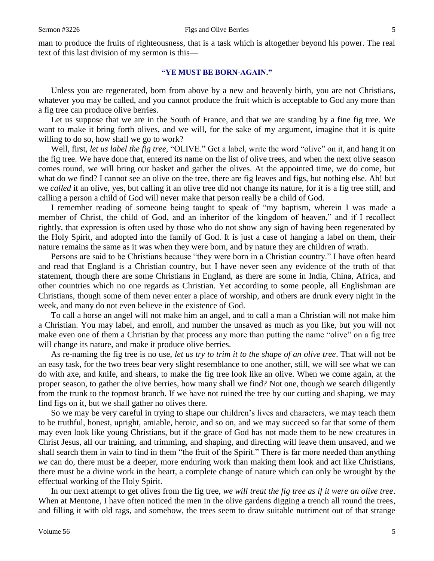man to produce the fruits of righteousness, that is a task which is altogether beyond his power. The real text of this last division of my sermon is this—

#### **"YE MUST BE BORN-AGAIN."**

Unless you are regenerated, born from above by a new and heavenly birth, you are not Christians, whatever you may be called, and you cannot produce the fruit which is acceptable to God any more than a fig tree can produce olive berries.

Let us suppose that we are in the South of France, and that we are standing by a fine fig tree. We want to make it bring forth olives, and we will, for the sake of my argument, imagine that it is quite willing to do so, how shall we go to work?

Well, first, *let us label the fig tree,* "OLIVE." Get a label, write the word "olive" on it, and hang it on the fig tree. We have done that, entered its name on the list of olive trees, and when the next olive season comes round, we will bring our basket and gather the olives. At the appointed time, we do come, but what do we find? I cannot see an olive on the tree, there are fig leaves and figs, but nothing else. Ah! but we *called* it an olive, yes, but calling it an olive tree did not change its nature, for it is a fig tree still, and calling a person a child of God will never make that person really be a child of God.

I remember reading of someone being taught to speak of "my baptism, wherein I was made a member of Christ, the child of God, and an inheritor of the kingdom of heaven," and if I recollect rightly, that expression is often used by those who do not show any sign of having been regenerated by the Holy Spirit, and adopted into the family of God. It is just a case of hanging a label on them, their nature remains the same as it was when they were born, and by nature they are children of wrath.

Persons are said to be Christians because "they were born in a Christian country." I have often heard and read that England is a Christian country, but I have never seen any evidence of the truth of that statement, though there are some Christians in England, as there are some in India, China, Africa, and other countries which no one regards as Christian. Yet according to some people, all Englishman are Christians, though some of them never enter a place of worship, and others are drunk every night in the week, and many do not even believe in the existence of God.

To call a horse an angel will not make him an angel, and to call a man a Christian will not make him a Christian. You may label, and enroll, and number the unsaved as much as you like, but you will not make even one of them a Christian by that process any more than putting the name "olive" on a fig tree will change its nature, and make it produce olive berries.

As re-naming the fig tree is no use, *let us try to trim it to the shape of an olive tree*. That will not be an easy task, for the two trees bear very slight resemblance to one another, still, we will see what we can do with axe, and knife, and shears, to make the fig tree look like an olive. When we come again, at the proper season, to gather the olive berries, how many shall we find? Not one, though we search diligently from the trunk to the topmost branch. If we have not ruined the tree by our cutting and shaping, we may find figs on it, but we shall gather no olives there.

So we may be very careful in trying to shape our children's lives and characters, we may teach them to be truthful, honest, upright, amiable, heroic, and so on, and we may succeed so far that some of them may even look like young Christians, but if the grace of God has not made them to be new creatures in Christ Jesus, all our training, and trimming, and shaping, and directing will leave them unsaved, and we shall search them in vain to find in them "the fruit of the Spirit." There is far more needed than anything *we* can do, there must be a deeper, more enduring work than making them look and act like Christians, there must be a divine work in the heart, a complete change of nature which can only be wrought by the effectual working of the Holy Spirit.

In our next attempt to get olives from the fig tree, *we will treat the fig tree as if it were an olive tree*. When at Mentone, I have often noticed the men in the olive gardens digging a trench all round the trees, and filling it with old rags, and somehow, the trees seem to draw suitable nutriment out of that strange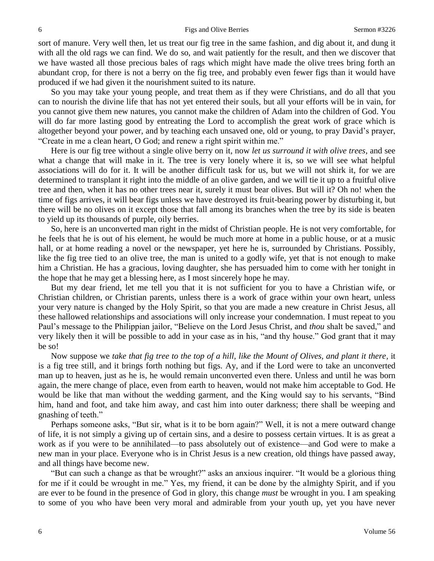sort of manure. Very well then, let us treat our fig tree in the same fashion, and dig about it, and dung it with all the old rags we can find. We do so, and wait patiently for the result, and then we discover that we have wasted all those precious bales of rags which might have made the olive trees bring forth an abundant crop, for there is not a berry on the fig tree, and probably even fewer figs than it would have produced if we had given it the nourishment suited to its nature.

So you may take your young people, and treat them as if they were Christians, and do all that you can to nourish the divine life that has not yet entered their souls, but all your efforts will be in vain, for you cannot give them new natures, you cannot make the children of Adam into the children of God. You will do far more lasting good by entreating the Lord to accomplish the great work of grace which is altogether beyond your power, and by teaching each unsaved one, old or young, to pray David's prayer, "Create in me a clean heart, O God; and renew a right spirit within me."

Here is our fig tree without a single olive berry on it, now *let us surround it with olive trees,* and see what a change that will make in it. The tree is very lonely where it is, so we will see what helpful associations will do for it. It will be another difficult task for us, but we will not shirk it, for we are determined to transplant it right into the middle of an olive garden, and we will tie it up to a fruitful olive tree and then, when it has no other trees near it, surely it must bear olives. But will it? Oh no! when the time of figs arrives, it will bear figs unless we have destroyed its fruit-bearing power by disturbing it, but there will be no olives on it except those that fall among its branches when the tree by its side is beaten to yield up its thousands of purple, oily berries.

So, here is an unconverted man right in the midst of Christian people. He is not very comfortable, for he feels that he is out of his element, he would be much more at home in a public house, or at a music hall, or at home reading a novel or the newspaper, yet here he is, surrounded by Christians. Possibly, like the fig tree tied to an olive tree, the man is united to a godly wife, yet that is not enough to make him a Christian. He has a gracious, loving daughter, she has persuaded him to come with her tonight in the hope that he may get a blessing here, as I most sincerely hope he may.

But my dear friend, let me tell you that it is not sufficient for you to have a Christian wife, or Christian children, or Christian parents, unless there is a work of grace within your own heart, unless your very nature is changed by the Holy Spirit, so that you are made a new creature in Christ Jesus, all these hallowed relationships and associations will only increase your condemnation. I must repeat to you Paul's message to the Philippian jailor, "Believe on the Lord Jesus Christ, and *thou* shalt be saved," and very likely then it will be possible to add in your case as in his, "and thy house." God grant that it may be so!

Now suppose we *take that fig tree to the top of a hill, like the Mount of Olives, and plant it there,* it is a fig tree still, and it brings forth nothing but figs. Ay, and if the Lord were to take an unconverted man up to heaven, just as he is, he would remain unconverted even there. Unless and until he was born again, the mere change of place, even from earth to heaven, would not make him acceptable to God. He would be like that man without the wedding garment, and the King would say to his servants, "Bind him, hand and foot, and take him away, and cast him into outer darkness; there shall be weeping and gnashing of teeth."

Perhaps someone asks, "But sir, what is it to be born again?" Well, it is not a mere outward change of life, it is not simply a giving up of certain sins, and a desire to possess certain virtues. It is as great a work as if you were to be annihilated—to pass absolutely out of existence—and God were to make a new man in your place. Everyone who is in Christ Jesus is a new creation, old things have passed away, and all things have become new.

"But can such a change as that be wrought?" asks an anxious inquirer. "It would be a glorious thing for me if it could be wrought in me." Yes, my friend, it can be done by the almighty Spirit, and if you are ever to be found in the presence of God in glory, this change *must* be wrought in you. I am speaking to some of you who have been very moral and admirable from your youth up, yet you have never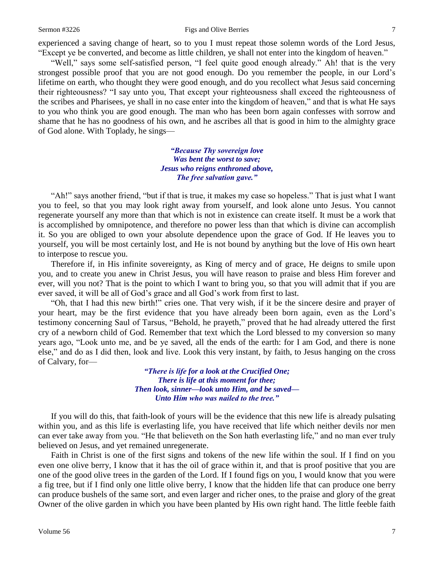#### Sermon #3226 **Figs and Olive Berries** 7

experienced a saving change of heart, so to you I must repeat those solemn words of the Lord Jesus, "Except ye be converted, and become as little children, ye shall not enter into the kingdom of heaven."

"Well," says some self-satisfied person, "I feel quite good enough already." Ah! that is the very strongest possible proof that you are not good enough. Do you remember the people, in our Lord's lifetime on earth, who thought they were good enough, and do you recollect what Jesus said concerning their righteousness? "I say unto you, That except your righteousness shall exceed the righteousness of the scribes and Pharisees, ye shall in no case enter into the kingdom of heaven," and that is what He says to you who think you are good enough. The man who has been born again confesses with sorrow and shame that he has no goodness of his own, and he ascribes all that is good in him to the almighty grace of God alone. With Toplady, he sings—

> *"Because Thy sovereign love Was bent the worst to save; Jesus who reigns enthroned above, The free salvation gave."*

"Ah!" says another friend, "but if that is true, it makes my case so hopeless." That is just what I want you to feel, so that you may look right away from yourself, and look alone unto Jesus. You cannot regenerate yourself any more than that which is not in existence can create itself. It must be a work that is accomplished by omnipotence, and therefore no power less than that which is divine can accomplish it. So you are obliged to own your absolute dependence upon the grace of God. If He leaves you to yourself, you will be most certainly lost, and He is not bound by anything but the love of His own heart to interpose to rescue you.

Therefore if, in His infinite sovereignty, as King of mercy and of grace, He deigns to smile upon you, and to create you anew in Christ Jesus, you will have reason to praise and bless Him forever and ever, will you not? That is the point to which I want to bring you, so that you will admit that if you are ever saved, it will be all of God's grace and all God's work from first to last.

"Oh, that I had this new birth!" cries one. That very wish, if it be the sincere desire and prayer of your heart, may be the first evidence that you have already been born again, even as the Lord's testimony concerning Saul of Tarsus, "Behold, he prayeth," proved that he had already uttered the first cry of a newborn child of God. Remember that text which the Lord blessed to my conversion so many years ago, "Look unto me, and be ye saved, all the ends of the earth: for I am God, and there is none else," and do as I did then, look and live. Look this very instant, by faith, to Jesus hanging on the cross of Calvary, for—

> *"There is life for a look at the Crucified One; There is life at this moment for thee; Then look, sinner—look unto Him, and be saved— Unto Him who was nailed to the tree."*

If you will do this, that faith-look of yours will be the evidence that this new life is already pulsating within you, and as this life is everlasting life, you have received that life which neither devils nor men can ever take away from you. "He that believeth on the Son hath everlasting life," and no man ever truly believed on Jesus, and yet remained unregenerate.

Faith in Christ is one of the first signs and tokens of the new life within the soul. If I find on you even one olive berry, I know that it has the oil of grace within it, and that is proof positive that you are one of the good olive trees in the garden of the Lord. If I found figs on you, I would know that you were a fig tree, but if I find only one little olive berry, I know that the hidden life that can produce one berry can produce bushels of the same sort, and even larger and richer ones, to the praise and glory of the great Owner of the olive garden in which you have been planted by His own right hand. The little feeble faith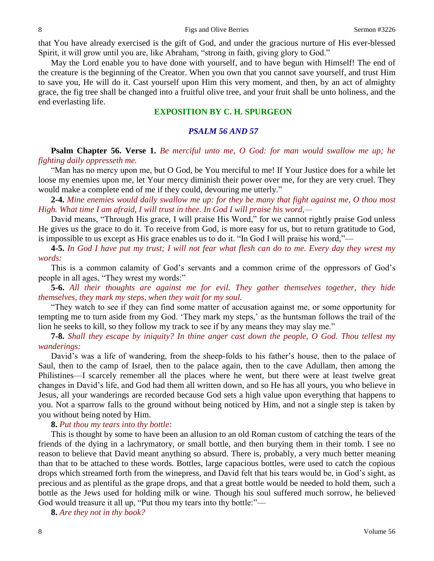that You have already exercised is the gift of God, and under the gracious nurture of His ever-blessed Spirit, it will grow until you are, like Abraham, "strong in faith, giving glory to God."

May the Lord enable you to have done with yourself, and to have begun with Himself! The end of the creature is the beginning of the Creator. When you own that you cannot save yourself, and trust Him to save you, He will do it. Cast yourself upon Him this very moment, and then, by an act of almighty grace, the fig tree shall be changed into a fruitful olive tree, and your fruit shall be unto holiness, and the end everlasting life.

## **EXPOSITION BY C. H. SPURGEON**

#### *PSALM 56 AND 57*

**Psalm Chapter 56. Verse 1.** *Be merciful unto me, O God: for man would swallow me up; he fighting daily oppresseth me.*

"Man has no mercy upon me, but O God, be You merciful to me! If Your Justice does for a while let loose my enemies upon me, let Your mercy diminish their power over me, for they are very cruel. They would make a complete end of me if they could, devouring me utterly."

**2-4.** *Mine enemies would daily swallow me up: for they be many that fight against me, O thou most High. What time I am afraid, I will trust in thee. In God I will praise his word,—*

David means, "Through His grace, I will praise His Word," for we cannot rightly praise God unless He gives us the grace to do it. To receive from God, is more easy for us, but to return gratitude to God, is impossible to us except as His grace enables us to do it. "In God I will praise his word,"—

**4-5.** *In God I have put my trust; I will not fear what flesh can do to me. Every day they wrest my words:*

This is a common calamity of God's servants and a common crime of the oppressors of God's people in all ages, "They wrest my words:"

**5-6.** *All their thoughts are against me for evil. They gather themselves together, they hide themselves, they mark my steps, when they wait for my soul.*

"They watch to see if they can find some matter of accusation against me, or some opportunity for tempting me to turn aside from my God. 'They mark my steps,' as the huntsman follows the trail of the lion he seeks to kill, so they follow my track to see if by any means they may slay me."

**7-8.** *Shall they escape by iniquity? In thine anger cast down the people, O God. Thou tellest my wanderings:*

David's was a life of wandering, from the sheep-folds to his father's house, then to the palace of Saul, then to the camp of Israel, then to the palace again, then to the cave Adullam, then among the Philistines—I scarcely remember all the places where he went, but there were at least twelve great changes in David's life, and God had them all written down, and so He has all yours, you who believe in Jesus, all your wanderings are recorded because God sets a high value upon everything that happens to you. Not a sparrow falls to the ground without being noticed by Him, and not a single step is taken by you without being noted by Him.

## **8.** *Put thou my tears into thy bottle:*

This is thought by some to have been an allusion to an old Roman custom of catching the tears of the friends of the dying in a lachrymatory, or small bottle, and then burying them in their tomb. I see no reason to believe that David meant anything so absurd. There is, probably, a very much better meaning than that to be attached to these words. Bottles, large capacious bottles, were used to catch the copious drops which streamed forth from the winepress, and David felt that his tears would be, in God's sight, as precious and as plentiful as the grape drops, and that a great bottle would be needed to hold them, such a bottle as the Jews used for holding milk or wine. Though his soul suffered much sorrow, he believed God would treasure it all up, "Put thou my tears into thy bottle:"—

**8.** *Are they not in thy book?*